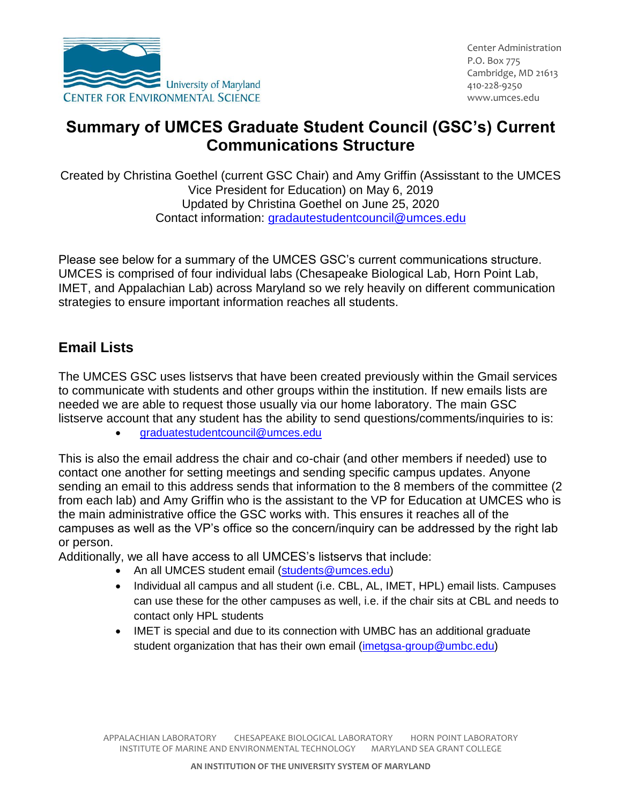

## **Summary of UMCES Graduate Student Council (GSC's) Current Communications Structure**

Created by Christina Goethel (current GSC Chair) and Amy Griffin (Assisstant to the UMCES Vice President for Education) on May 6, 2019 Updated by Christina Goethel on June 25, 2020 Contact information: [gradautestudentcouncil@umces.edu](mailto:gradautestudentcouncil@umces.edu)

Please see below for a summary of the UMCES GSC's current communications structure. UMCES is comprised of four individual labs (Chesapeake Biological Lab, Horn Point Lab, IMET, and Appalachian Lab) across Maryland so we rely heavily on different communication strategies to ensure important information reaches all students.

## **Email Lists**

The UMCES GSC uses listservs that have been created previously within the Gmail services to communicate with students and other groups within the institution. If new emails lists are needed we are able to request those usually via our home laboratory. The main GSC listserve account that any student has the ability to send questions/comments/inquiries to is:

[graduatestudentcouncil@umces.edu](mailto:graduatestudentcouncil@umces.edu)

This is also the email address the chair and co-chair (and other members if needed) use to contact one another for setting meetings and sending specific campus updates. Anyone sending an email to this address sends that information to the 8 members of the committee (2 from each lab) and Amy Griffin who is the assistant to the VP for Education at UMCES who is the main administrative office the GSC works with. This ensures it reaches all of the campuses as well as the VP's office so the concern/inquiry can be addressed by the right lab or person.

Additionally, we all have access to all UMCES's listservs that include:

- An all UMCES student email [\(students@umces.edu\)](mailto:students@umces.edu)
- Individual all campus and all student (i.e. CBL, AL, IMET, HPL) email lists. Campuses can use these for the other campuses as well, i.e. if the chair sits at CBL and needs to contact only HPL students
- IMET is special and due to its connection with UMBC has an additional graduate student organization that has their own email [\(imetgsa-group@umbc.edu\)](mailto:imetgsa-group@umbc.edu)